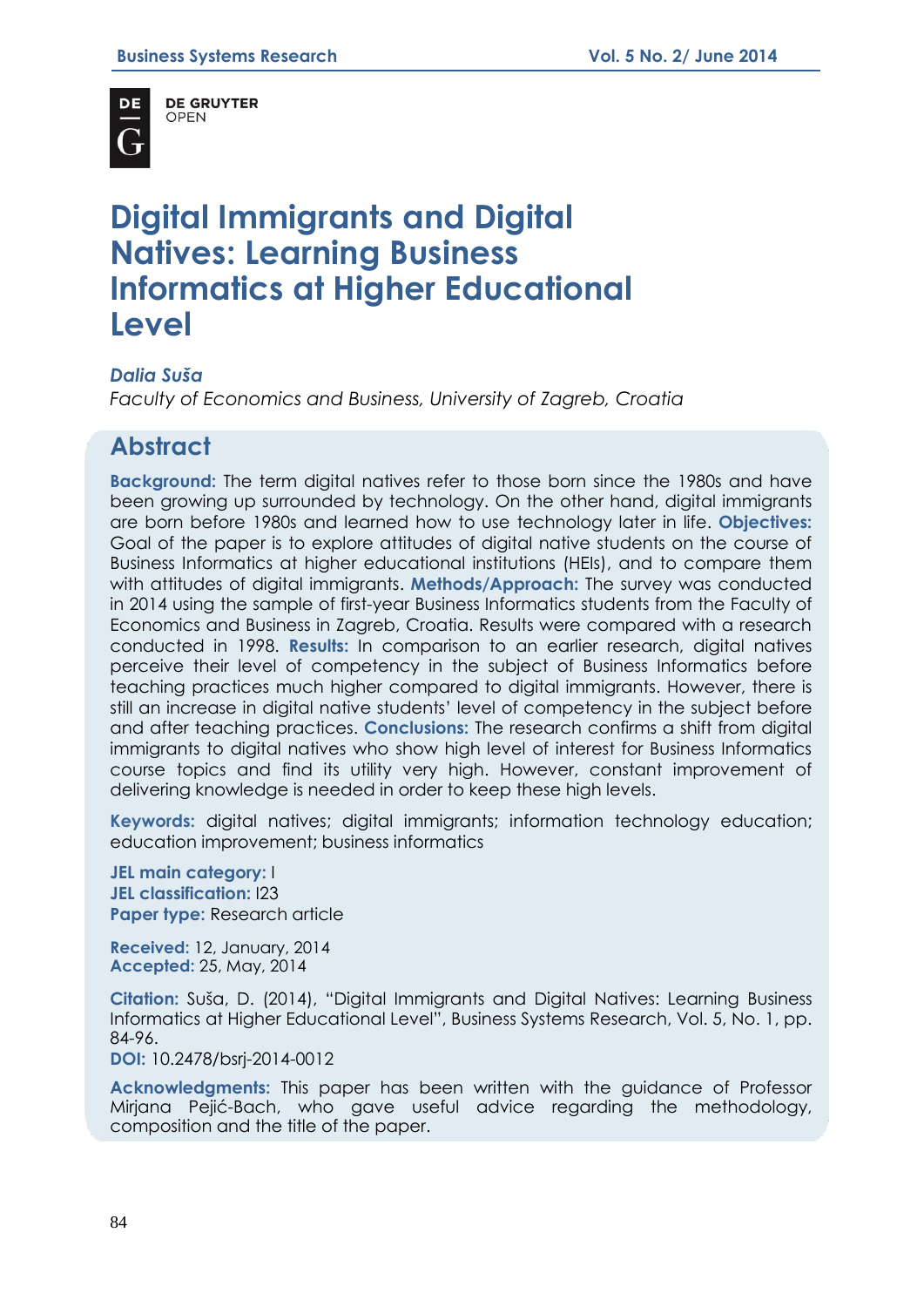

**DE GRUYTER OPEN** 

# **Digital Immigrants and Digital Natives: Learning Business Informatics at Higher Educational Level**

### *Dalia Suša*

*Faculty of Economics and Business, University of Zagreb, Croatia*

# **Abstract**

**Background:** The term digital natives refer to those born since the 1980s and have been growing up surrounded by technology. On the other hand, digital immigrants are born before 1980s and learned how to use technology later in life. **Objectives:** Goal of the paper is to explore attitudes of digital native students on the course of Business Informatics at higher educational institutions (HEIs), and to compare them with attitudes of digital immigrants. **Methods/Approach:** The survey was conducted in 2014 using the sample of first-year Business Informatics students from the Faculty of Economics and Business in Zagreb, Croatia. Results were compared with a research conducted in 1998. **Results:** In comparison to an earlier research, digital natives perceive their level of competency in the subject of Business Informatics before teaching practices much higher compared to digital immigrants. However, there is still an increase in digital native students' level of competency in the subject before and after teaching practices. **Conclusions:** The research confirms a shift from digital immigrants to digital natives who show high level of interest for Business Informatics course topics and find its utility very high. However, constant improvement of delivering knowledge is needed in order to keep these high levels.

**Keywords:** digital natives; digital immigrants; information technology education; education improvement; business informatics

**JEL main category:** I **JEL classification:** I23 **Paper type: Research article** 

**Received:** 12, January, 2014 **Accepted:** 25, May, 2014

**Citation:** Suša, D. (2014), "Digital Immigrants and Digital Natives: Learning Business Informatics at Higher Educational Level", Business Systems Research, Vol. 5, No. 1, pp. 84-96.

**DOI:** 10.2478/bsrj-2014-0012

**Acknowledgments:** This paper has been written with the guidance of Professor Mirjana Pejić-Bach, who gave useful advice regarding the methodology, composition and the title of the paper.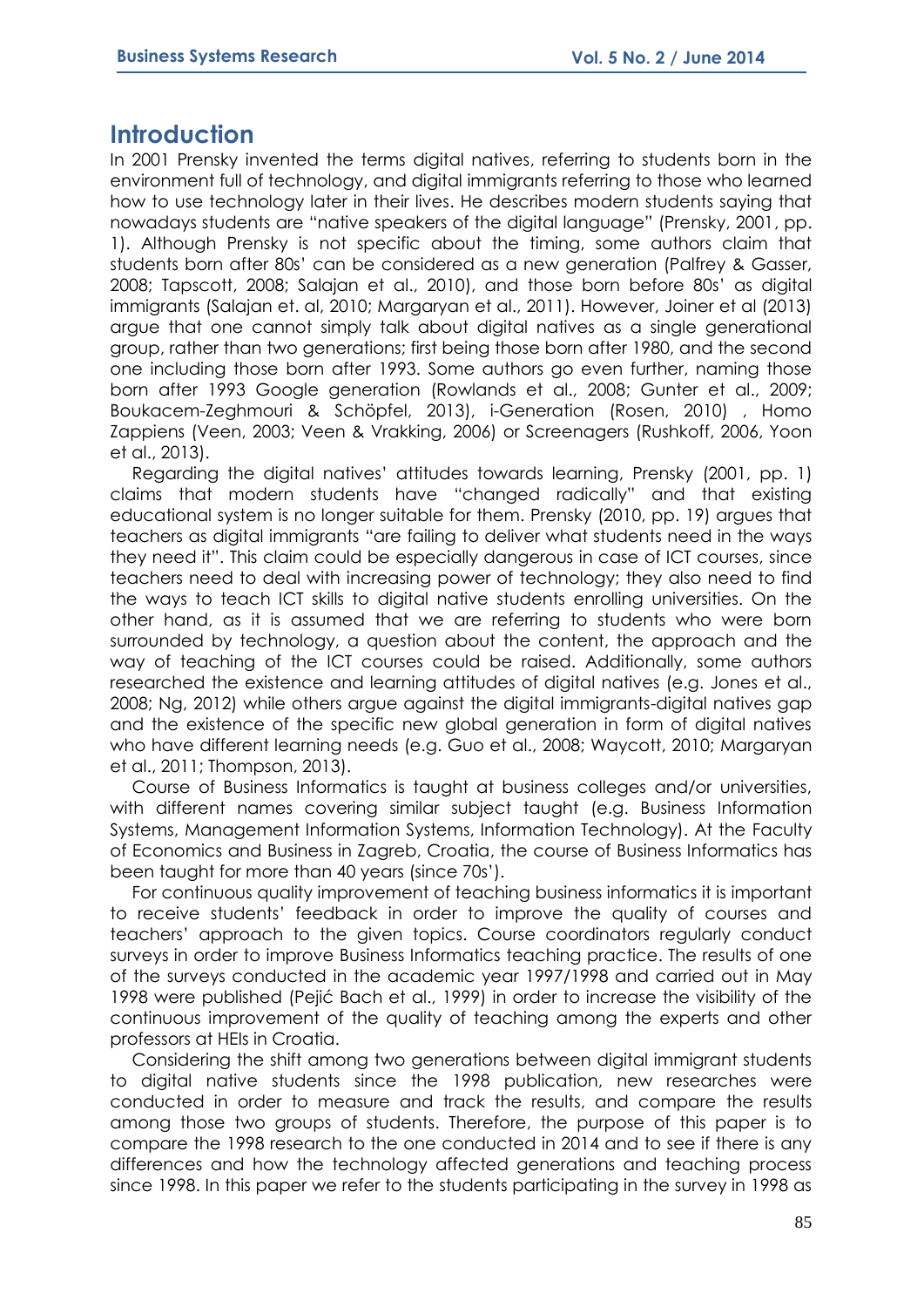### **Introduction**

In 2001 Prensky invented the terms digital natives, referring to students born in the environment full of technology, and digital immigrants referring to those who learned how to use technology later in their lives. He describes modern students saying that nowadays students are "native speakers of the digital language" (Prensky, 2001, pp. 1). Although Prensky is not specific about the timing, some authors claim that students born after 80s' can be considered as a new generation (Palfrey & Gasser, 2008; Tapscott, 2008; Salajan et al., 2010), and those born before 80s' as digital immigrants (Salajan et. al, 2010; Margaryan et al., 2011). However, Joiner et al (2013) argue that one cannot simply talk about digital natives as a single generational group, rather than two generations; first being those born after 1980, and the second one including those born after 1993. Some authors go even further, naming those born after 1993 Google generation (Rowlands et al., 2008; Gunter et al., 2009; Boukacem-Zeghmouri & Schöpfel, 2013), i-Generation (Rosen, 2010) , Homo Zappiens (Veen, 2003; Veen & Vrakking, 2006) or Screenagers (Rushkoff, 2006, Yoon et al., 2013).

Regarding the digital natives' attitudes towards learning, Prensky (2001, pp. 1) claims that modern students have "changed radically" and that existing educational system is no longer suitable for them. Prensky (2010, pp. 19) argues that teachers as digital immigrants "are failing to deliver what students need in the ways they need it". This claim could be especially dangerous in case of ICT courses, since teachers need to deal with increasing power of technology; they also need to find the ways to teach ICT skills to digital native students enrolling universities. On the other hand, as it is assumed that we are referring to students who were born surrounded by technology, a question about the content, the approach and the way of teaching of the ICT courses could be raised. Additionally, some authors researched the existence and learning attitudes of digital natives (e.g. Jones et al., 2008; Ng, 2012) while others argue against the digital immigrants-digital natives gap and the existence of the specific new global generation in form of digital natives who have different learning needs (e.g. Guo et al., 2008; Waycott, 2010; Margaryan et al., 2011; Thompson, 2013).

Course of Business Informatics is taught at business colleges and/or universities, with different names covering similar subject taught (e.g. Business Information Systems, Management Information Systems, Information Technology). At the Faculty of Economics and Business in Zagreb, Croatia, the course of Business Informatics has been taught for more than 40 years (since 70s').

For continuous quality improvement of teaching business informatics it is important to receive students' feedback in order to improve the quality of courses and teachers' approach to the given topics. Course coordinators regularly conduct surveys in order to improve Business Informatics teaching practice. The results of one of the surveys conducted in the academic year 1997/1998 and carried out in May 1998 were published (Pejić Bach et al., 1999) in order to increase the visibility of the continuous improvement of the quality of teaching among the experts and other professors at HEIs in Croatia.

Considering the shift among two generations between digital immigrant students to digital native students since the 1998 publication, new researches were conducted in order to measure and track the results, and compare the results among those two groups of students. Therefore, the purpose of this paper is to compare the 1998 research to the one conducted in 2014 and to see if there is any differences and how the technology affected generations and teaching process since 1998. In this paper we refer to the students participating in the survey in 1998 as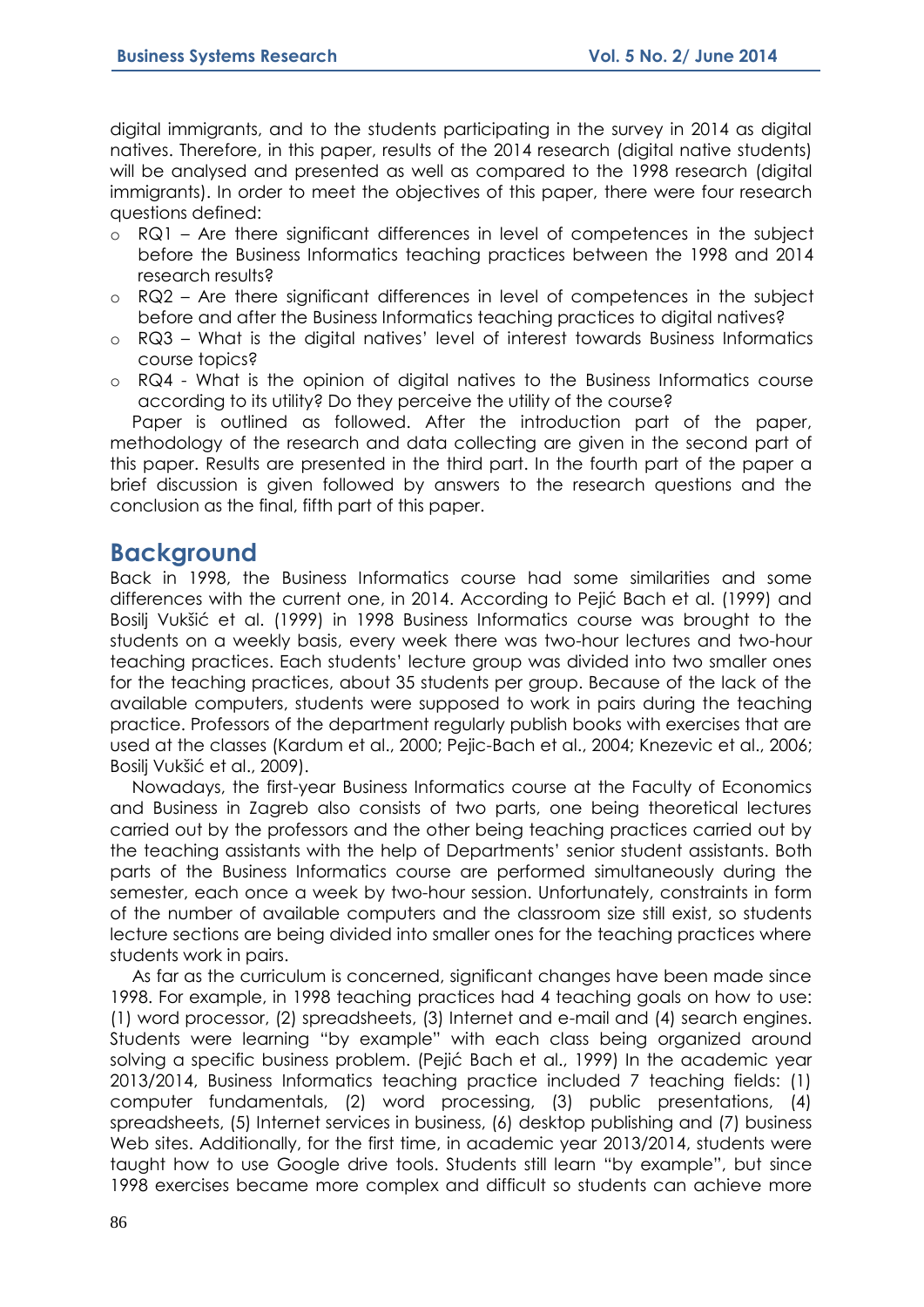digital immigrants, and to the students participating in the survey in 2014 as digital natives. Therefore, in this paper, results of the 2014 research (digital native students) will be analysed and presented as well as compared to the 1998 research (digital immigrants). In order to meet the objectives of this paper, there were four research questions defined:

- o RQ1 Are there significant differences in level of competences in the subject before the Business Informatics teaching practices between the 1998 and 2014 research results?
- o RQ2 Are there significant differences in level of competences in the subject before and after the Business Informatics teaching practices to digital natives?
- o RQ3 What is the digital natives' level of interest towards Business Informatics course topics?
- o RQ4 What is the opinion of digital natives to the Business Informatics course according to its utility? Do they perceive the utility of the course?

Paper is outlined as followed. After the introduction part of the paper, methodology of the research and data collecting are given in the second part of this paper. Results are presented in the third part. In the fourth part of the paper a brief discussion is given followed by answers to the research questions and the conclusion as the final, fifth part of this paper.

# **Background**

Back in 1998, the Business Informatics course had some similarities and some differences with the current one, in 2014. According to Pejić Bach et al. (1999) and Bosilj Vukšić et al. (1999) in 1998 Business Informatics course was brought to the students on a weekly basis, every week there was two-hour lectures and two-hour teaching practices. Each students' lecture group was divided into two smaller ones for the teaching practices, about 35 students per group. Because of the lack of the available computers, students were supposed to work in pairs during the teaching practice. Professors of the department regularly publish books with exercises that are used at the classes (Kardum et al., 2000; Pejic-Bach et al., 2004; Knezevic et al., 2006; Bosilj Vukšić et al., 2009).

Nowadays, the first-year Business Informatics course at the Faculty of Economics and Business in Zagreb also consists of two parts, one being theoretical lectures carried out by the professors and the other being teaching practices carried out by the teaching assistants with the help of Departments' senior student assistants. Both parts of the Business Informatics course are performed simultaneously during the semester, each once a week by two-hour session. Unfortunately, constraints in form of the number of available computers and the classroom size still exist, so students lecture sections are being divided into smaller ones for the teaching practices where students work in pairs.

As far as the curriculum is concerned, significant changes have been made since 1998. For example, in 1998 teaching practices had 4 teaching goals on how to use: (1) word processor, (2) spreadsheets, (3) Internet and e-mail and (4) search engines. Students were learning "by example" with each class being organized around solving a specific business problem. (Pejić Bach et al., 1999) In the academic year 2013/2014, Business Informatics teaching practice included 7 teaching fields: (1) computer fundamentals, (2) word processing, (3) public presentations, (4) spreadsheets, (5) Internet services in business, (6) desktop publishing and (7) business Web sites. Additionally, for the first time, in academic year 2013/2014, students were taught how to use Google drive tools. Students still learn "by example", but since 1998 exercises became more complex and difficult so students can achieve more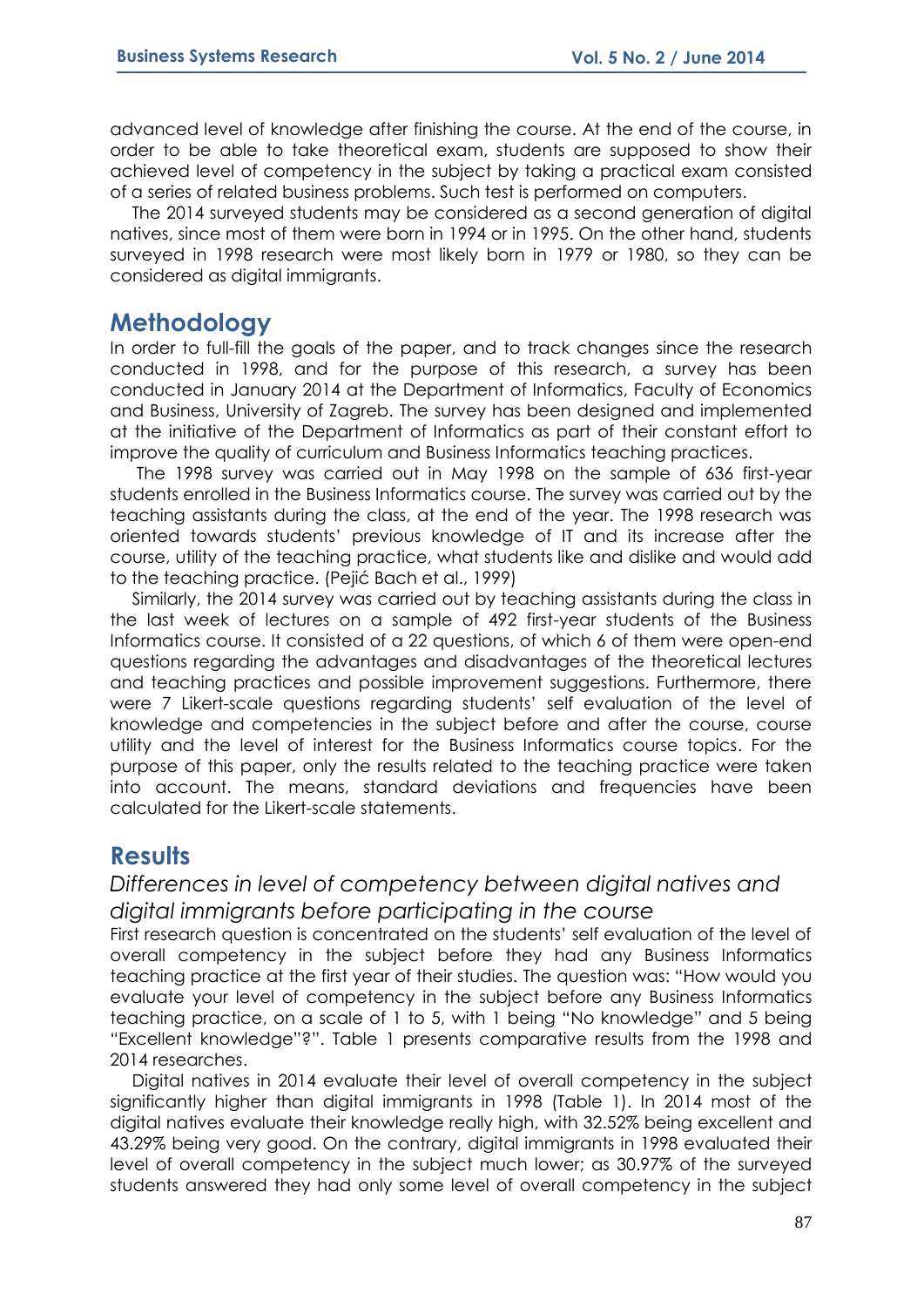advanced level of knowledge after finishing the course. At the end of the course, in order to be able to take theoretical exam, students are supposed to show their achieved level of competency in the subject by taking a practical exam consisted of a series of related business problems. Such test is performed on computers.

The 2014 surveyed students may be considered as a second generation of digital natives, since most of them were born in 1994 or in 1995. On the other hand, students surveyed in 1998 research were most likely born in 1979 or 1980, so they can be considered as digital immigrants.

### **Methodology**

In order to full-fill the goals of the paper, and to track changes since the research conducted in 1998, and for the purpose of this research, a survey has been conducted in January 2014 at the Department of Informatics, Faculty of Economics and Business, University of Zagreb. The survey has been designed and implemented at the initiative of the Department of Informatics as part of their constant effort to improve the quality of curriculum and Business Informatics teaching practices.

The 1998 survey was carried out in May 1998 on the sample of 636 first-year students enrolled in the Business Informatics course. The survey was carried out by the teaching assistants during the class, at the end of the year. The 1998 research was oriented towards students' previous knowledge of IT and its increase after the course, utility of the teaching practice, what students like and dislike and would add to the teaching practice. (Pejić Bach et al., 1999)

Similarly, the 2014 survey was carried out by teaching assistants during the class in the last week of lectures on a sample of 492 first-year students of the Business Informatics course. It consisted of a 22 questions, of which 6 of them were open-end questions regarding the advantages and disadvantages of the theoretical lectures and teaching practices and possible improvement suggestions. Furthermore, there were 7 Likert-scale questions regarding students' self evaluation of the level of knowledge and competencies in the subject before and after the course, course utility and the level of interest for the Business Informatics course topics. For the purpose of this paper, only the results related to the teaching practice were taken into account. The means, standard deviations and frequencies have been calculated for the Likert-scale statements.

# **Results**

# *Differences in level of competency between digital natives and digital immigrants before participating in the course*

First research question is concentrated on the students' self evaluation of the level of overall competency in the subject before they had any Business Informatics teaching practice at the first year of their studies. The question was: "How would you evaluate your level of competency in the subject before any Business Informatics teaching practice, on a scale of 1 to 5, with 1 being "No knowledge" and 5 being "Excellent knowledge"?". Table 1 presents comparative results from the 1998 and 2014 researches.

Digital natives in 2014 evaluate their level of overall competency in the subject significantly higher than digital immigrants in 1998 (Table 1). In 2014 most of the digital natives evaluate their knowledge really high, with 32.52% being excellent and 43.29% being very good. On the contrary, digital immigrants in 1998 evaluated their level of overall competency in the subject much lower; as 30.97% of the surveyed students answered they had only some level of overall competency in the subject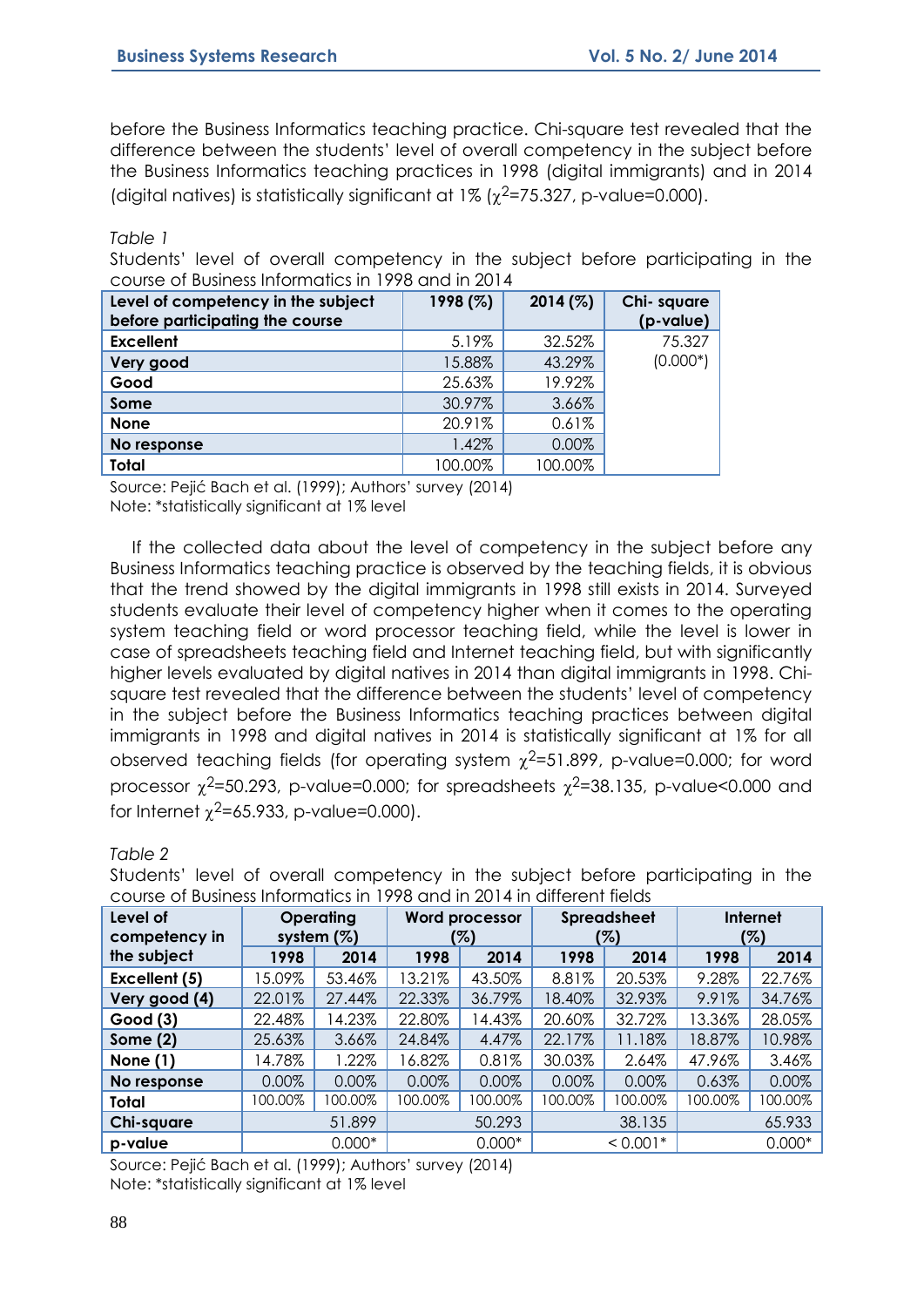before the Business Informatics teaching practice. Chi-square test revealed that the difference between the students' level of overall competency in the subject before the Business Informatics teaching practices in 1998 (digital immigrants) and in 2014 (digital natives) is statistically significant at  $1\%$  ( $\chi^2$ =75.327, p-value=0.000).

*Table 1*

Students' level of overall competency in the subject before participating in the course of Business Informatics in 1998 and in 2014

| Level of competency in the subject<br>before participating the course | 1998 (%) | 2014(%) | Chi-square<br>(p-value) |
|-----------------------------------------------------------------------|----------|---------|-------------------------|
| <b>Excellent</b>                                                      | 5.19%    | 32.52%  | 75.327                  |
| Very good                                                             | 15.88%   | 43.29%  | $(0.000*)$              |
| Good                                                                  | 25.63%   | 19.92%  |                         |
| Some                                                                  | 30.97%   | 3.66%   |                         |
| <b>None</b>                                                           | 20.91%   | 0.61%   |                         |
| No response                                                           | 1.42%    | 0.00%   |                         |
| <b>Total</b>                                                          | 100.00%  | 100.00% |                         |

Source: Pejić Bach et al. (1999); Authors' survey (2014) Note: \*statistically significant at 1% level

If the collected data about the level of competency in the subject before any Business Informatics teaching practice is observed by the teaching fields, it is obvious that the trend showed by the digital immigrants in 1998 still exists in 2014. Surveyed students evaluate their level of competency higher when it comes to the operating system teaching field or word processor teaching field, while the level is lower in case of spreadsheets teaching field and Internet teaching field, but with significantly higher levels evaluated by digital natives in 2014 than digital immigrants in 1998. Chisquare test revealed that the difference between the students' level of competency in the subject before the Business Informatics teaching practices between digital immigrants in 1998 and digital natives in 2014 is statistically significant at 1% for all observed teaching fields (for operating system  $\chi^2$ =51.899, p-value=0.000; for word processor  $\chi^2$ =50.293, p-value=0.000; for spreadsheets  $\chi^2$ =38.135, p-value<0.000 and for Internet  $\chi^2$ =65.933, p-value=0.000).

#### *Table 2*

| COUSE OF DUSILICSS ITIOITIQUES IT T770 UHQ IIT Z014 IIT UIHCICHT IICIUS |         |                                   |                              |          |                           |            |                        |          |
|-------------------------------------------------------------------------|---------|-----------------------------------|------------------------------|----------|---------------------------|------------|------------------------|----------|
| Level of<br>competency in                                               |         | <b>Operating</b><br>system $(\%)$ | <b>Word processor</b><br>(%) |          | <b>Spreadsheet</b><br>(%) |            | <b>Internet</b><br>(%) |          |
| the subject                                                             | 1998    | 2014                              | 1998                         | 2014     | 1998                      | 2014       | 1998                   | 2014     |
| Excellent (5)                                                           | 15.09%  | 53.46%                            | 13.21%                       | 43.50%   | 8.81%                     | 20.53%     | 9.28%                  | 22.76%   |
| Very good (4)                                                           | 22.01%  | 27.44%                            | 22.33%                       | 36.79%   | 18.40%                    | 32.93%     | 9.91%                  | 34.76%   |
| Good(3)                                                                 | 22.48%  | 4.23%                             | 22.80%                       | 14.43%   | 20.60%                    | 32.72%     | 13.36%                 | 28.05%   |
| Some $(2)$                                                              | 25.63%  | 3.66%                             | 24.84%                       | 4.47%    | 22.17%                    | 11.18%     | 18.87%                 | 10.98%   |
| None $(1)$                                                              | 14.78%  | .22%                              | 16.82%                       | 0.81%    | 30.03%                    | 2.64%      | 47.96%                 | 3.46%    |
| No response                                                             | 0.00%   | 0.00%                             | 0.00%                        | 0.00%    | 0.00%                     | 0.00%      | 0.63%                  | 0.00%    |
| Total                                                                   | 100.00% | 100.00%                           | 100.00%                      | 00.00%   | 100.00%                   | 100.00%    | 100.00%                | 100.00%  |
| Chi-square                                                              |         | 51.899                            |                              | 50.293   |                           | 38.135     |                        | 65.933   |
| p-value                                                                 |         | $0.000*$                          |                              | $0.000*$ |                           | $< 0.001*$ |                        | $0.000*$ |

Students' level of overall competency in the subject before participating in the course of Business Informatics in 1998 and in 2014 in different fields

Source: Pejić Bach et al. (1999); Authors' survey (2014) Note: \*statistically significant at 1% level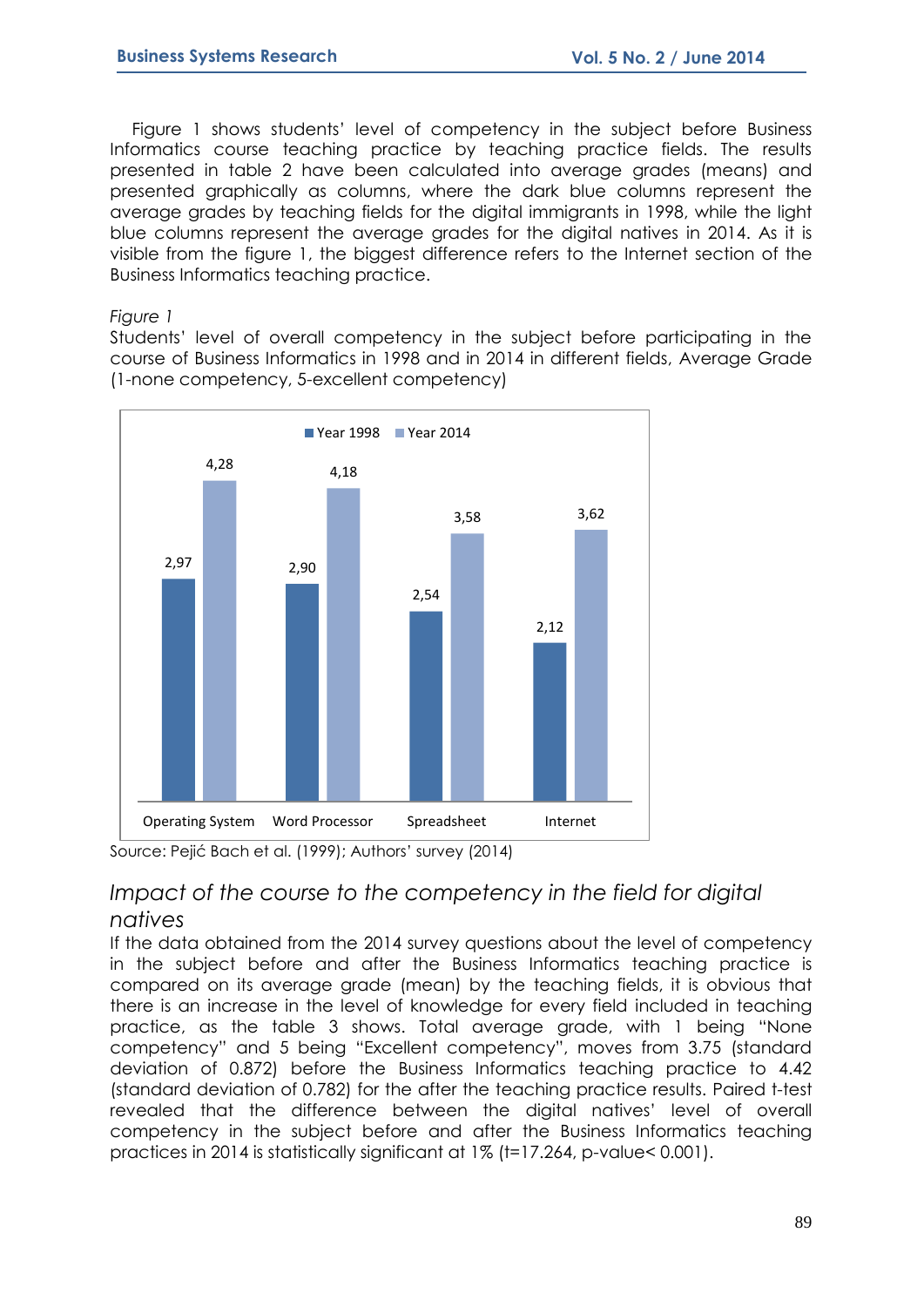Figure 1 shows students' level of competency in the subject before Business Informatics course teaching practice by teaching practice fields. The results presented in table 2 have been calculated into average grades (means) and presented graphically as columns, where the dark blue columns represent the average grades by teaching fields for the digital immigrants in 1998, while the light blue columns represent the average grades for the digital natives in 2014. As it is visible from the figure 1, the biggest difference refers to the Internet section of the Business Informatics teaching practice.

#### *Figure 1*

Students' level of overall competency in the subject before participating in the course of Business Informatics in 1998 and in 2014 in different fields, Average Grade (1-none competency, 5-excellent competency)



Source: Pejić Bach et al. (1999); Authors' survey (2014)

### *Impact of the course to the competency in the field for digital natives*

If the data obtained from the 2014 survey questions about the level of competency in the subject before and after the Business Informatics teaching practice is compared on its average grade (mean) by the teaching fields, it is obvious that there is an increase in the level of knowledge for every field included in teaching practice, as the table 3 shows. Total average grade, with 1 being "None competency" and 5 being "Excellent competency", moves from 3.75 (standard deviation of 0.872) before the Business Informatics teaching practice to 4.42 (standard deviation of 0.782) for the after the teaching practice results. Paired t-test revealed that the difference between the digital natives' level of overall competency in the subject before and after the Business Informatics teaching practices in 2014 is statistically significant at 1% (t=17.264, p-value< 0.001).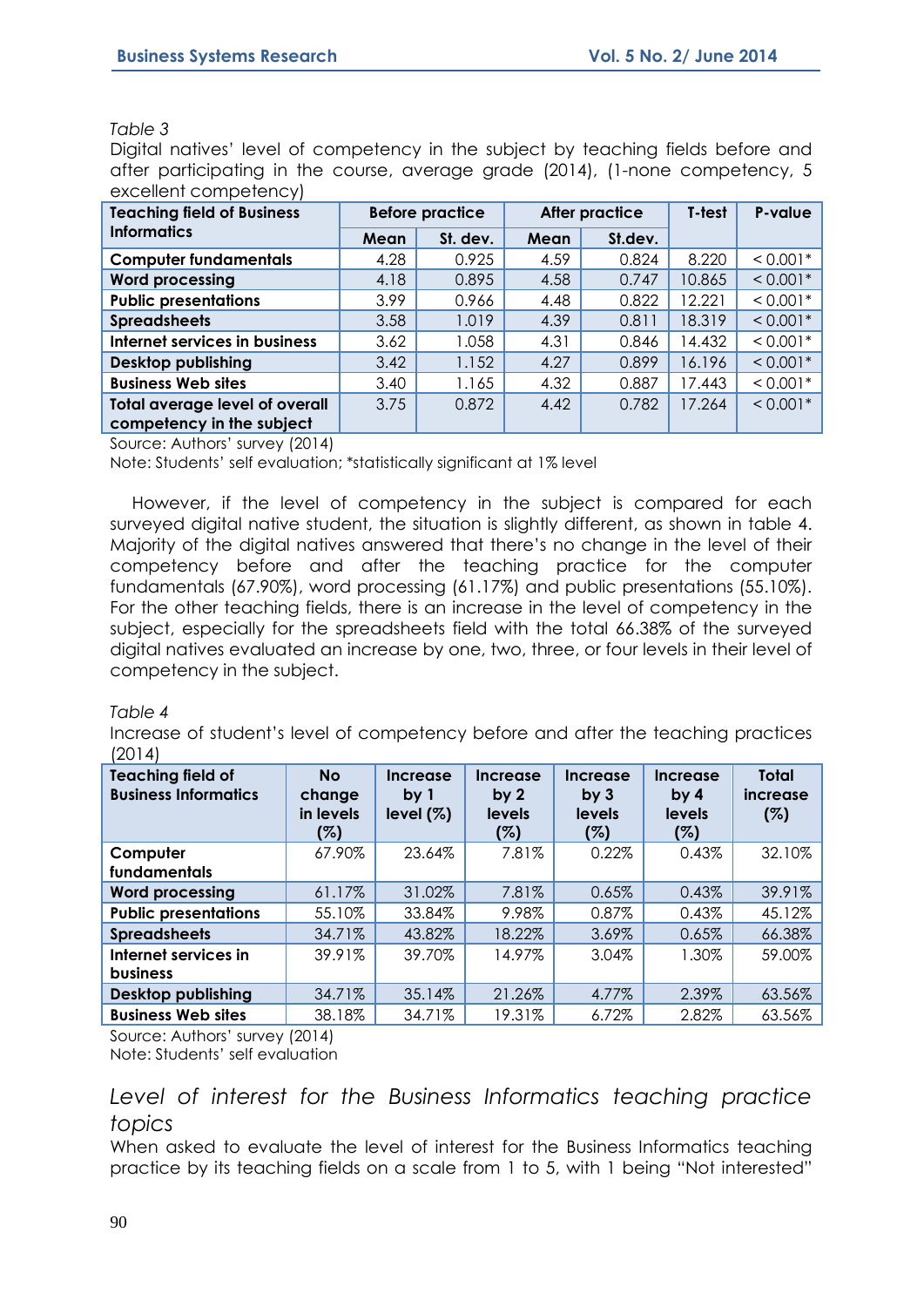#### *Table 3*

Digital natives' level of competency in the subject by teaching fields before and after participating in the course, average grade (2014), (1-none competency, 5 excellent competency)

| <b>Teaching field of Business</b>     | <b>Before practice</b> |          |      | <b>After practice</b> | T-test | P-value    |
|---------------------------------------|------------------------|----------|------|-----------------------|--------|------------|
| <b>Informatics</b>                    | Mean                   | St. dev. | Mean | St.dev.               |        |            |
| <b>Computer fundamentals</b>          | 4.28                   | 0.925    | 4.59 | 0.824                 | 8.220  | $< 0.001*$ |
| <b>Word processing</b>                | 4.18                   | 0.895    | 4.58 | 0.747                 | 10.865 | $< 0.001*$ |
| <b>Public presentations</b>           | 3.99                   | 0.966    | 4.48 | 0.822                 | 12.221 | $< 0.001*$ |
| <b>Spreadsheets</b>                   | 3.58                   | 1.019    | 4.39 | 0.811                 | 18.319 | $< 0.001*$ |
| Internet services in business         | 3.62                   | 1.058    | 4.31 | 0.846                 | 14.432 | $< 0.001*$ |
| Desktop publishing                    | 3.42                   | 1.152    | 4.27 | 0.899                 | 16.196 | $< 0.001*$ |
| <b>Business Web sites</b>             | 3.40                   | 1.165    | 4.32 | 0.887                 | 17.443 | $< 0.001*$ |
| <b>Total average level of overall</b> | 3.75                   | 0.872    | 4.42 | 0.782                 | 17.264 | $< 0.001*$ |
| competency in the subject             |                        |          |      |                       |        |            |

Source: Authors' survey (2014)

Note: Students' self evaluation; \*statistically significant at 1% level

However, if the level of competency in the subject is compared for each surveyed digital native student, the situation is slightly different, as shown in table 4. Majority of the digital natives answered that there's no change in the level of their competency before and after the teaching practice for the computer fundamentals (67.90%), word processing (61.17%) and public presentations (55.10%). For the other teaching fields, there is an increase in the level of competency in the subject, especially for the spreadsheets field with the total 66.38% of the surveyed digital natives evaluated an increase by one, two, three, or four levels in their level of competency in the subject.

#### *Table 4*

Increase of student's level of competency before and after the teaching practices (2014)

| <b>Teaching field of</b><br><b>Business Informatics</b> | <b>No</b><br>change<br>in levels<br>(%) | Increase<br>by 1<br>level $(\%)$ | Increase<br>by <sub>2</sub><br>levels<br>(%) | <b>Increase</b><br>by <sub>3</sub><br>levels<br>(%) | Increase<br>by <sub>4</sub><br>levels<br>(%) | <b>Total</b><br><i>increase</i><br>(%) |
|---------------------------------------------------------|-----------------------------------------|----------------------------------|----------------------------------------------|-----------------------------------------------------|----------------------------------------------|----------------------------------------|
| Computer<br>fundamentals                                | 67.90%                                  | 23.64%                           | 7.81%                                        | 0.22%                                               | 0.43%                                        | 32.10%                                 |
| <b>Word processing</b>                                  | 61.17%                                  | 31.02%                           | 7.81%                                        | 0.65%                                               | 0.43%                                        | 39.91%                                 |
| <b>Public presentations</b>                             | 55.10%                                  | 33.84%                           | 9.98%                                        | 0.87%                                               | 0.43%                                        | 45.12%                                 |
| <b>Spreadsheets</b>                                     | 34.71%                                  | 43.82%                           | 18.22%                                       | 3.69%                                               | 0.65%                                        | 66.38%                                 |
| Internet services in<br><b>business</b>                 | 39.91%                                  | 39.70%                           | 14.97%                                       | 3.04%                                               | 1.30%                                        | 59.00%                                 |
| <b>Desktop publishing</b>                               | 34.71%                                  | 35.14%                           | 21.26%                                       | 4.77%                                               | 2.39%                                        | 63.56%                                 |
| <b>Business Web sites</b>                               | 38.18%                                  | 34.71%                           | 19.31%                                       | 6.72%                                               | 2.82%                                        | 63.56%                                 |

Source: Authors' survey (2014) Note: Students' self evaluation

### *Level of interest for the Business Informatics teaching practice topics*

When asked to evaluate the level of interest for the Business Informatics teaching practice by its teaching fields on a scale from 1 to 5, with 1 being "Not interested"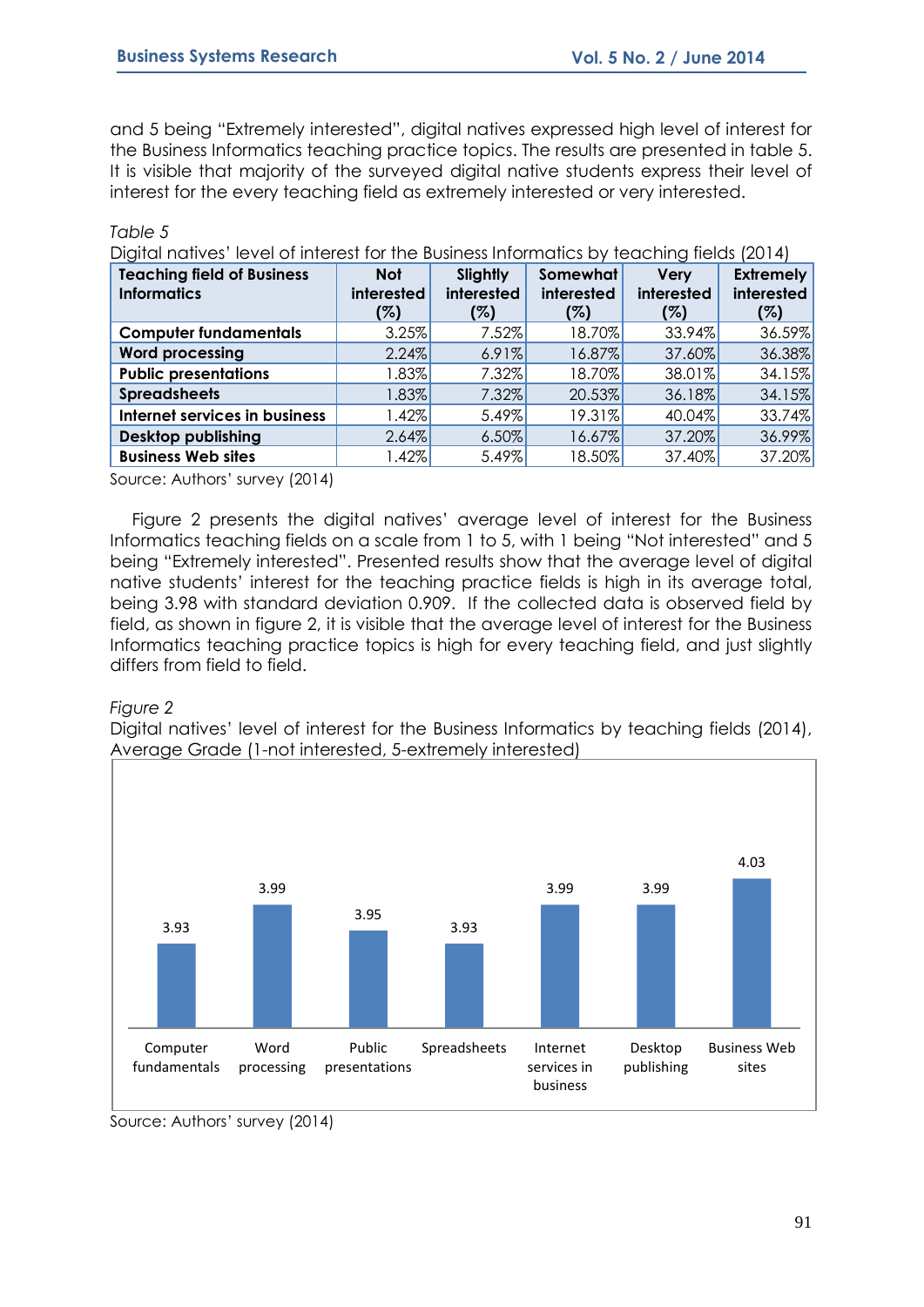and 5 being "Extremely interested", digital natives expressed high level of interest for the Business Informatics teaching practice topics. The results are presented in table 5. It is visible that majority of the surveyed digital native students express their level of interest for the every teaching field as extremely interested or very interested.

| Digital natives' level of interest for the Business Informatics by teaching fields (2014) |            |            |            |             |                  |  |  |  |
|-------------------------------------------------------------------------------------------|------------|------------|------------|-------------|------------------|--|--|--|
| <b>Teaching field of Business</b>                                                         | <b>Not</b> | Slightly   | Somewhat   | <b>Very</b> | <b>Extremely</b> |  |  |  |
| <b>Informatics</b>                                                                        | interested | interested | interested | interested  | interested       |  |  |  |
|                                                                                           | (%)        | (%)        | (%)        | (%)         | $( \% )$         |  |  |  |
| <b>Computer fundamentals</b>                                                              | 3.25%      | 7.52%      | 18.70%     | 33.94%      | 36.59%           |  |  |  |
| <b>Word processing</b>                                                                    | 2.24%      | 6.91%      | 16.87%     | 37.60%      | 36.38%           |  |  |  |
| <b>Public presentations</b>                                                               | $1.83\%$   | $7.32\%$   | 18.70%     | 38.01%      | 34.15%           |  |  |  |
| <b>Spreadsheets</b>                                                                       | $1.83\%$   | 7.32%      | 20.53%     | 36.18%      | 34.15%           |  |  |  |
| Internet services in business                                                             | $1.42\%$   | 5.49%      | 19.31%     | 40.04%      | 33.74%           |  |  |  |
| <b>Desktop publishing</b>                                                                 | 2.64%      | $6.50\%$   | 16.67%     | 37.20%      | 36.99%           |  |  |  |
| <b>Business Web sites</b>                                                                 | $.42\%$    | 5.49%      | 18.50%     | 37.40%      | 37.20%           |  |  |  |

Source: Authors' survey (2014)

Figure 2 presents the digital natives' average level of interest for the Business Informatics teaching fields on a scale from 1 to 5, with 1 being "Not interested" and 5 being "Extremely interested". Presented results show that the average level of digital native students' interest for the teaching practice fields is high in its average total, being 3.98 with standard deviation 0.909. If the collected data is observed field by field, as shown in figure 2, it is visible that the average level of interest for the Business Informatics teaching practice topics is high for every teaching field, and just slightly differs from field to field.

#### *Figure 2*

*Table 5*

Digital natives' level of interest for the Business Informatics by teaching fields (2014), Average Grade (1-not interested, 5-extremely interested)



Source: Authors' survey (2014)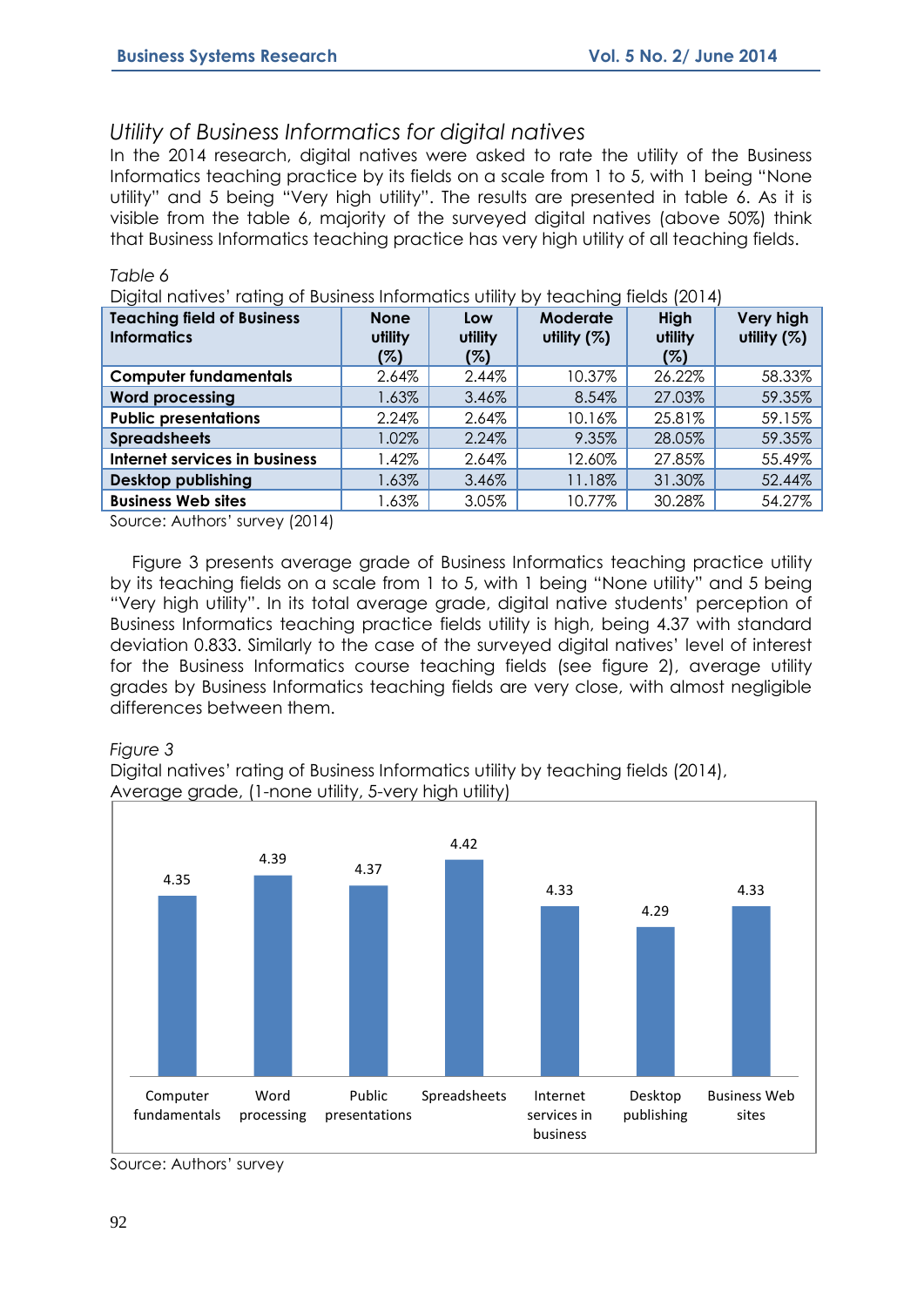### *Utility of Business Informatics for digital natives*

In the 2014 research, digital natives were asked to rate the utility of the Business Informatics teaching practice by its fields on a scale from 1 to 5, with 1 being "None utility" and 5 being "Very high utility". The results are presented in table 6. As it is visible from the table 6, majority of the surveyed digital natives (above 50%) think that Business Informatics teaching practice has very high utility of all teaching fields.

| <b>Teaching field of Business</b><br><b>Informatics</b> | <b>None</b><br>utility<br>(%) | Low<br>utility<br>(%) | <b>Moderate</b><br>utility $(%)$ | High<br>utility<br>(%) | Very high<br>utility (%) |
|---------------------------------------------------------|-------------------------------|-----------------------|----------------------------------|------------------------|--------------------------|
| <b>Computer fundamentals</b>                            | 2.64%                         | 2.44%                 | 10.37%                           | 26.22%                 | 58.33%                   |
| <b>Word processing</b>                                  | 1.63%                         | 3.46%                 | 8.54%                            | 27.03%                 | 59.35%                   |
| <b>Public presentations</b>                             | 2.24%                         | 2.64%                 | 10.16%                           | 25.81%                 | 59.15%                   |
| <b>Spreadsheets</b>                                     | 1.02%                         | 2.24%                 | 9.35%                            | 28.05%                 | 59.35%                   |
| Internet services in business                           | 1.42%                         | 2.64%                 | 12.60%                           | 27.85%                 | 55.49%                   |
| Desktop publishing                                      | 1.63%                         | 3.46%                 | 11.18%                           | 31.30%                 | 52.44%                   |
| <b>Business Web sites</b>                               | 1.63%                         | 3.05%                 | 10.77%                           | 30.28%                 | 54.27%                   |

Digital natives' rating of Business Informatics utility by teaching fields (2014)

Source: Authors' survey (2014)

Figure 3 presents average grade of Business Informatics teaching practice utility by its teaching fields on a scale from 1 to 5, with 1 being "None utility" and 5 being "Very high utility". In its total average grade, digital native students' perception of Business Informatics teaching practice fields utility is high, being 4.37 with standard deviation 0.833. Similarly to the case of the surveyed digital natives' level of interest for the Business Informatics course teaching fields (see figure 2), average utility grades by Business Informatics teaching fields are very close, with almost negligible differences between them.

#### *Figure 3*

*Table 6* 

Digital natives' rating of Business Informatics utility by teaching fields (2014), Average grade, (1-none utility, 5-very high utility)



Source: Authors' survey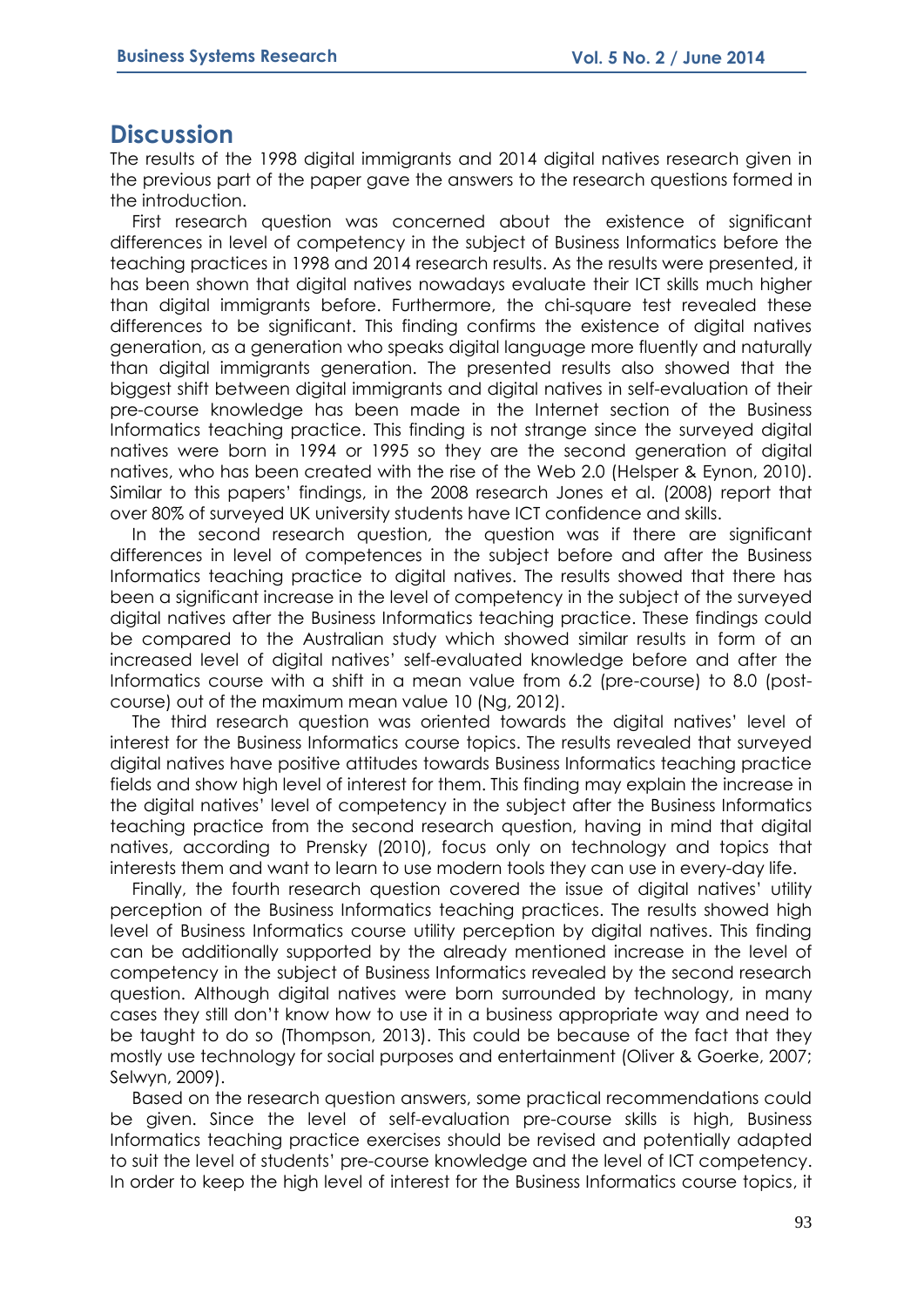### **Discussion**

The results of the 1998 digital immigrants and 2014 digital natives research given in the previous part of the paper gave the answers to the research questions formed in the introduction.

First research question was concerned about the existence of significant differences in level of competency in the subject of Business Informatics before the teaching practices in 1998 and 2014 research results. As the results were presented, it has been shown that digital natives nowadays evaluate their ICT skills much higher than digital immigrants before. Furthermore, the chi-square test revealed these differences to be significant. This finding confirms the existence of digital natives generation, as a generation who speaks digital language more fluently and naturally than digital immigrants generation. The presented results also showed that the biggest shift between digital immigrants and digital natives in self-evaluation of their pre-course knowledge has been made in the Internet section of the Business Informatics teaching practice. This finding is not strange since the surveyed digital natives were born in 1994 or 1995 so they are the second generation of digital natives, who has been created with the rise of the Web 2.0 (Helsper & Eynon, 2010). Similar to this papers' findings, in the 2008 research Jones et al. (2008) report that over 80% of surveyed UK university students have ICT confidence and skills.

In the second research question, the question was if there are significant differences in level of competences in the subject before and after the Business Informatics teaching practice to digital natives. The results showed that there has been a significant increase in the level of competency in the subject of the surveyed digital natives after the Business Informatics teaching practice. These findings could be compared to the Australian study which showed similar results in form of an increased level of digital natives' self-evaluated knowledge before and after the Informatics course with a shift in a mean value from 6.2 (pre-course) to 8.0 (postcourse) out of the maximum mean value 10 (Ng, 2012).

The third research question was oriented towards the digital natives' level of interest for the Business Informatics course topics. The results revealed that surveyed digital natives have positive attitudes towards Business Informatics teaching practice fields and show high level of interest for them. This finding may explain the increase in the digital natives' level of competency in the subject after the Business Informatics teaching practice from the second research question, having in mind that digital natives, according to Prensky (2010), focus only on technology and topics that interests them and want to learn to use modern tools they can use in every-day life.

Finally, the fourth research question covered the issue of digital natives' utility perception of the Business Informatics teaching practices. The results showed high level of Business Informatics course utility perception by digital natives. This finding can be additionally supported by the already mentioned increase in the level of competency in the subject of Business Informatics revealed by the second research question. Although digital natives were born surrounded by technology, in many cases they still don't know how to use it in a business appropriate way and need to be taught to do so (Thompson, 2013). This could be because of the fact that they mostly use technology for social purposes and entertainment (Oliver & Goerke, 2007; Selwyn, 2009).

Based on the research question answers, some practical recommendations could be given. Since the level of self-evaluation pre-course skills is high, Business Informatics teaching practice exercises should be revised and potentially adapted to suit the level of students' pre-course knowledge and the level of ICT competency. In order to keep the high level of interest for the Business Informatics course topics, it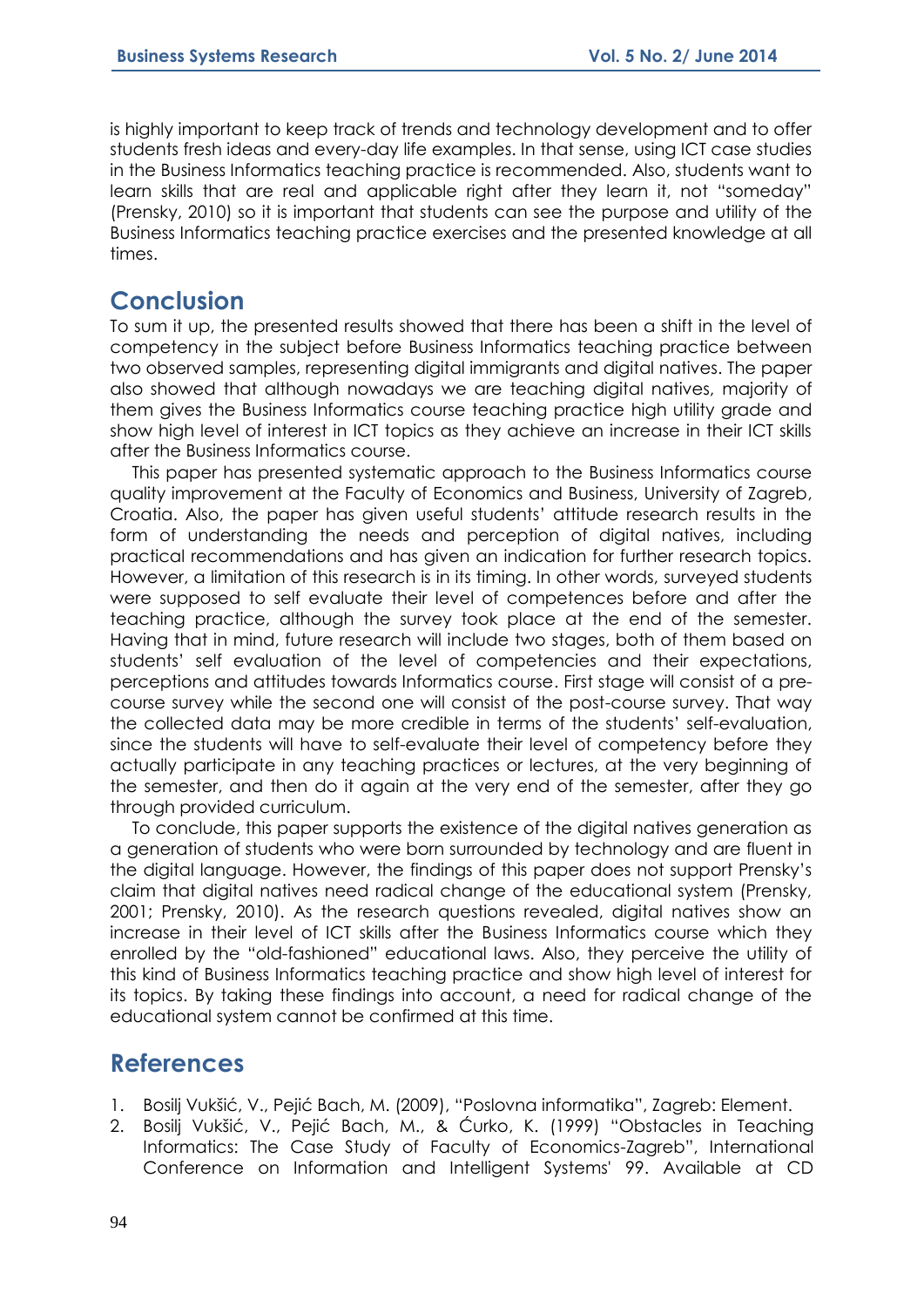is highly important to keep track of trends and technology development and to offer students fresh ideas and every-day life examples. In that sense, using ICT case studies in the Business Informatics teaching practice is recommended. Also, students want to learn skills that are real and applicable right after they learn it, not "someday" (Prensky, 2010) so it is important that students can see the purpose and utility of the Business Informatics teaching practice exercises and the presented knowledge at all times.

# **Conclusion**

To sum it up, the presented results showed that there has been a shift in the level of competency in the subject before Business Informatics teaching practice between two observed samples, representing digital immigrants and digital natives. The paper also showed that although nowadays we are teaching digital natives, majority of them gives the Business Informatics course teaching practice high utility grade and show high level of interest in ICT topics as they achieve an increase in their ICT skills after the Business Informatics course.

This paper has presented systematic approach to the Business Informatics course quality improvement at the Faculty of Economics and Business, University of Zagreb, Croatia. Also, the paper has given useful students' attitude research results in the form of understanding the needs and perception of digital natives, including practical recommendations and has given an indication for further research topics. However, a limitation of this research is in its timing. In other words, surveyed students were supposed to self evaluate their level of competences before and after the teaching practice, although the survey took place at the end of the semester. Having that in mind, future research will include two stages, both of them based on students' self evaluation of the level of competencies and their expectations, perceptions and attitudes towards Informatics course. First stage will consist of a precourse survey while the second one will consist of the post-course survey. That way the collected data may be more credible in terms of the students' self-evaluation, since the students will have to self-evaluate their level of competency before they actually participate in any teaching practices or lectures, at the very beginning of the semester, and then do it again at the very end of the semester, after they go through provided curriculum.

To conclude, this paper supports the existence of the digital natives generation as a generation of students who were born surrounded by technology and are fluent in the digital language. However, the findings of this paper does not support Prensky's claim that digital natives need radical change of the educational system (Prensky, 2001; Prensky, 2010). As the research questions revealed, digital natives show an increase in their level of ICT skills after the Business Informatics course which they enrolled by the "old-fashioned" educational laws. Also, they perceive the utility of this kind of Business Informatics teaching practice and show high level of interest for its topics. By taking these findings into account, a need for radical change of the educational system cannot be confirmed at this time.

# **References**

- 1. Bosilj Vukšić, V., Pejić Bach, M. (2009), "Poslovna informatika", Zagreb: Element.
- 2. Bosilj Vukšić, V., Pejić Bach, M., & Ćurko, K. (1999) "Obstacles in Teaching Informatics: The Case Study of Faculty of Economics-Zagreb", International Conference on Information and Intelligent Systems' 99. Available at CD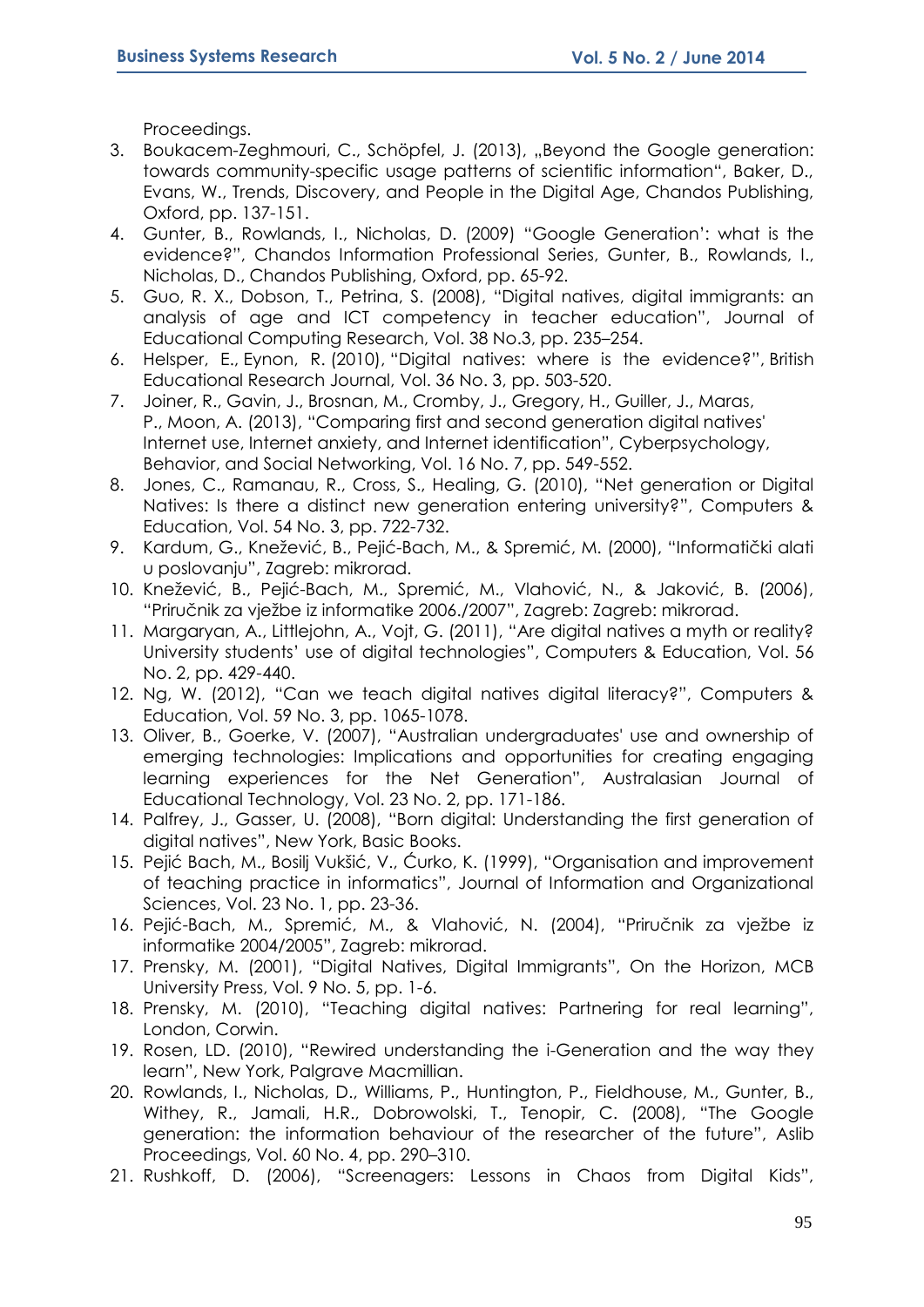Proceedings.

- 3. Boukacem-Zeghmouri, C., Schöpfel, J. (2013), "Beyond the Google generation: towards community-specific usage patterns of scientific information", Baker, D., Evans, W., Trends, Discovery, and People in the Digital Age, Chandos Publishing, Oxford, pp. 137-151.
- 4. Gunter, B., Rowlands, I., Nicholas, D. (2009) "Google Generation': what is the evidence?", Chandos Information Professional Series, Gunter, B., Rowlands, I., Nicholas, D., Chandos Publishing, Oxford, pp. 65-92.
- 5. Guo, R. X., Dobson, T., Petrina, S. (2008), "Digital natives, digital immigrants: an analysis of age and ICT competency in teacher education", Journal of Educational Computing Research, Vol. 38 No.3, pp. 235–254.
- 6. Helsper, E., Eynon, R. (2010), "Digital natives: where is the evidence?", British Educational Research Journal, Vol. 36 No. 3, pp. 503-520.
- 7. Joiner, R., Gavin, J., Brosnan, M., Cromby, J., Gregory, H., Guiller, J., Maras, P., Moon, A. (2013), "Comparing first and second generation digital natives' Internet use, Internet anxiety, and Internet identification", Cyberpsychology, Behavior, and Social Networking, Vol. 16 No. 7, pp. 549-552.
- 8. Jones, C., Ramanau, R., Cross, S., Healing, G. (2010), "Net generation or Digital Natives: Is there a distinct new generation entering university?", Computers & Education, Vol. 54 No. 3, pp. 722-732.
- 9. Kardum, G., Knežević, B., Pejić-Bach, M., & Spremić, M. (2000), "Informatički alati u poslovanju", Zagreb: mikrorad.
- 10. Knežević, B., Pejić-Bach, M., Spremić, M., Vlahović, N., & Jaković, B. (2006), "Priručnik za vježbe iz informatike 2006./2007", Zagreb: Zagreb: mikrorad.
- 11. Margaryan, A., Littlejohn, A., Vojt, G. (2011), "Are digital natives a myth or reality? University students' use of digital technologies", Computers & Education, Vol. 56 No. 2, pp. 429-440.
- 12. Ng, W. (2012), "Can we teach digital natives digital literacy?", Computers & Education, Vol. 59 No. 3, pp. 1065-1078.
- 13. Oliver, B., Goerke, V. (2007), "Australian undergraduates' use and ownership of emerging technologies: Implications and opportunities for creating engaging learning experiences for the Net Generation", Australasian Journal of Educational Technology, Vol. 23 No. 2, pp. 171-186.
- 14. Palfrey, J., Gasser, U. (2008), "Born digital: Understanding the first generation of digital natives", New York, Basic Books.
- 15. Pejić Bach, M., Bosilj Vukšić, V., Ćurko, K. (1999), "Organisation and improvement of teaching practice in informatics", Journal of Information and Organizational Sciences, Vol. 23 No. 1, pp. 23-36.
- 16. Pejić-Bach, M., Spremić, M., & Vlahović, N. (2004), "Priručnik za vježbe iz informatike 2004/2005", Zagreb: mikrorad.
- 17. Prensky, M. (2001), "Digital Natives, Digital Immigrants", On the Horizon, MCB University Press, Vol. 9 No. 5, pp. 1-6.
- 18. Prensky, M. (2010), "Teaching digital natives: Partnering for real learning", London, Corwin.
- 19. Rosen, LD. (2010), "Rewired understanding the i-Generation and the way they learn", New York, Palgrave Macmillian.
- 20. Rowlands, I., Nicholas, D., Williams, P., Huntington, P., Fieldhouse, M., Gunter, B., Withey, R., Jamali, H.R., Dobrowolski, T., Tenopir, C. (2008), "The Google generation: the information behaviour of the researcher of the future", Aslib Proceedings, Vol. 60 No. 4, pp. 290–310.
- 21. Rushkoff, D. (2006), "Screenagers: Lessons in Chaos from Digital Kids",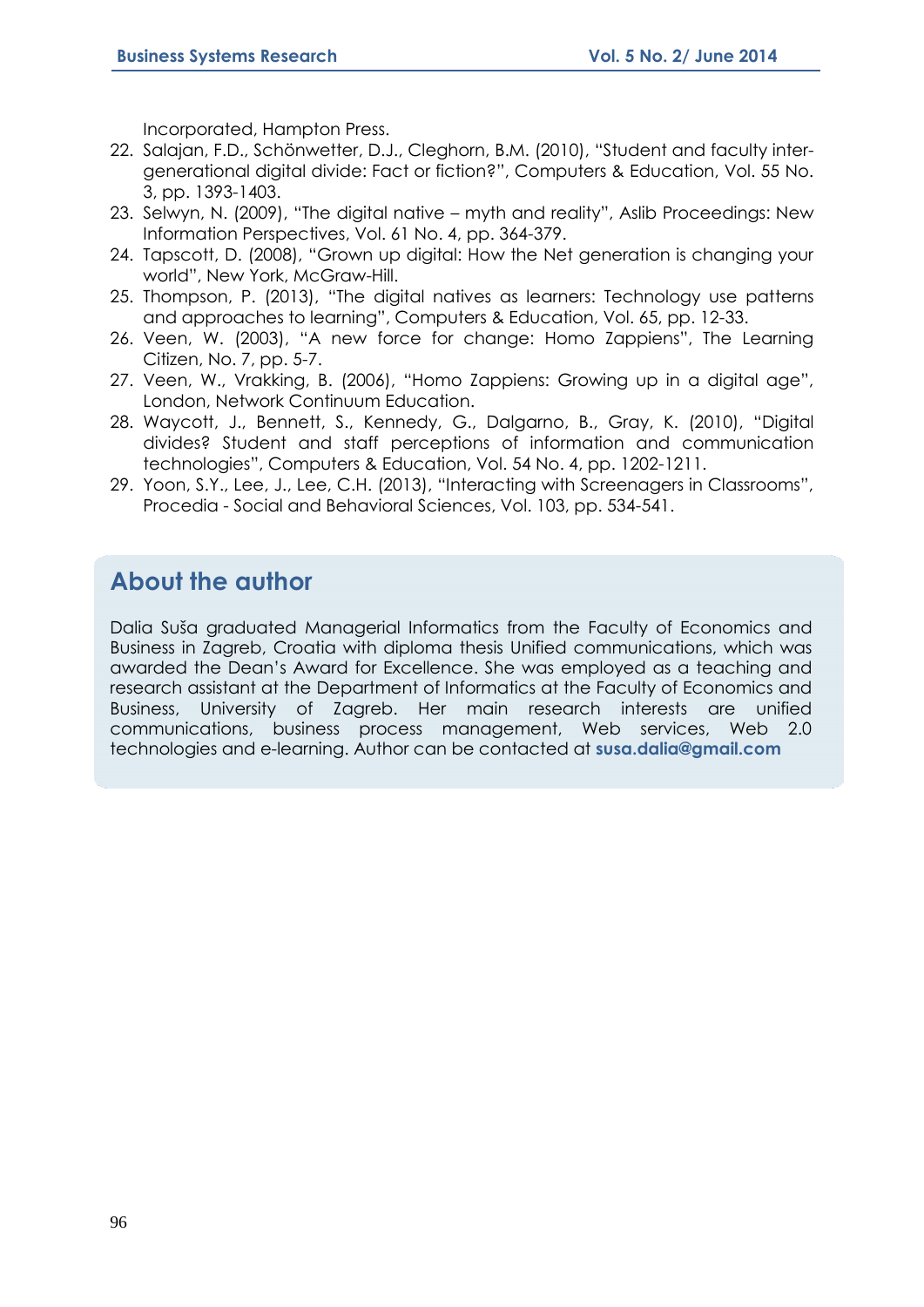Incorporated, Hampton Press.

- 22. Salajan, F.D., Schönwetter, D.J., Cleghorn, B.M. (2010), "Student and faculty intergenerational digital divide: Fact or fiction?", Computers & Education, Vol. 55 No. 3, pp. 1393-1403.
- 23. Selwyn, N. (2009), "The digital native myth and reality", Aslib Proceedings: New Information Perspectives, Vol. 61 No. 4, pp. 364-379.
- 24. Tapscott, D. (2008), "Grown up digital: How the Net generation is changing your world", New York, McGraw-Hill.
- 25. Thompson, P. (2013), "The digital natives as learners: Technology use patterns and approaches to learning", Computers & Education, Vol. 65, pp. 12-33.
- 26. Veen, W. (2003), "A new force for change: Homo Zappiens", The Learning Citizen, No. 7, pp. 5-7.
- 27. Veen, W., Vrakking, B. (2006), "Homo Zappiens: Growing up in a digital age", London, Network Continuum Education.
- 28. Waycott, J., Bennett, S., Kennedy, G., Dalgarno, B., Gray, K. (2010), "Digital divides? Student and staff perceptions of information and communication technologies", Computers & Education, Vol. 54 No. 4, pp. 1202-1211.
- 29. Yoon, S.Y., Lee, J., Lee, C.H. (2013), "Interacting with Screenagers in Classrooms", Procedia - Social and Behavioral Sciences, Vol. 103, pp. 534-541.

# **About the author**

Dalia Suša graduated Managerial Informatics from the Faculty of Economics and Business in Zagreb, Croatia with diploma thesis Unified communications, which was awarded the Dean's Award for Excellence. She was employed as a teaching and research assistant at the Department of Informatics at the Faculty of Economics and Business, University of Zagreb. Her main research interests are unified communications, business process management, Web services, Web 2.0 technologies and e-learning. Author can be contacted at **susa.dalia@gmail.com**